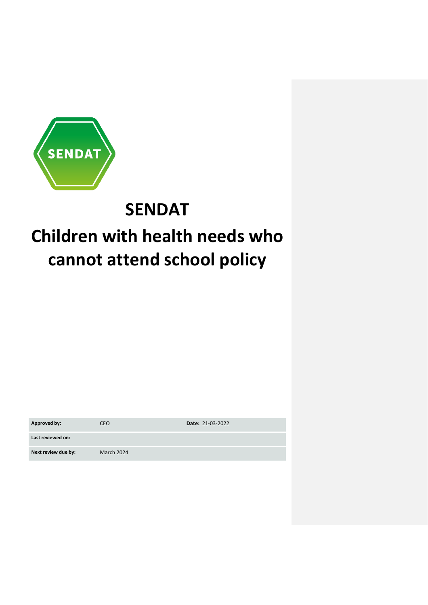

## **SENDAT**

# **Children with health needs who cannot attend school policy**

| Approved by:        | CEO.       | Date: 21-03-2022 |
|---------------------|------------|------------------|
| Last reviewed on:   |            |                  |
| Next review due by: | March 2024 |                  |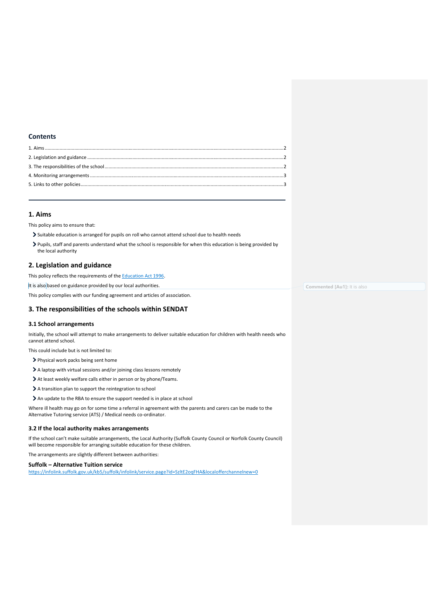## **Contents**

## <span id="page-1-0"></span>**1. Aims**

This policy aims to ensure that:

- Suitable education is arranged for pupils on roll who cannot attend school due to health needs
- Pupils, staff and parents understand what the school is responsible for when this education is being provided by the local authority

## <span id="page-1-1"></span>**2. Legislation and guidance**

This policy reflects the requirements of the **Education Act 1996**.

It is also based on guidance provided by our local authorities.

This policy complies with our funding agreement and articles of association.

## <span id="page-1-2"></span>**3. The responsibilities of the schools within SENDAT**

#### **3.1 School arrangements**

Initially, the school will attempt to make arrangements to deliver suitable education for children with health needs who cannot attend school.

This could include but is not limited to:

- > Physical work packs being sent home
- A laptop with virtual sessions and/or joining class lessons remotely
- At least weekly welfare calls either in person or by phone/Teams.
- > A transition plan to support the reintegration to school
- An update to the RBA to ensure the support needed is in place at school

Where ill health may go on for some time a referral in agreement with the parents and carers can be made to the Alternative Tutoring service (ATS) / Medical needs co-ordinator.

### **3.2 If the local authority makes arrangements**

If the school can't make suitable arrangements, the Local Authority (Suffolk County Council or Norfolk County Council) will become responsible for arranging suitable education for these children.

The arrangements are slightly different between authorities:

#### **Suffolk – Alternative Tuition service**

<https://infolink.suffolk.gov.uk/kb5/suffolk/infolink/service.page?id=SzltE2oqFHA&localofferchannelnew=0>

**Commented [Au1]:** It is also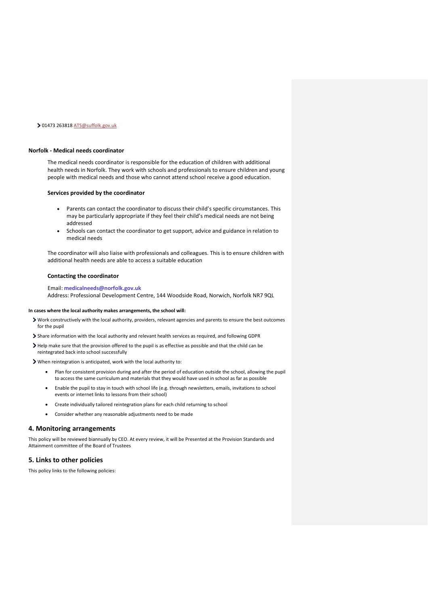#### 01473 263818 [ATS@suffolk.gov.uk](mailto:ATS@suffolk.gov.uk)

#### **Norfolk - Medical needs coordinator**

The medical needs coordinator is responsible for the education of children with additional health needs in Norfolk. They work with schools and professionals to ensure children and young people with medical needs and those who cannot attend school receive a good education.

#### **Services provided by the coordinator**

- Parents can contact the coordinator to discuss their child's specific circumstances. This may be particularly appropriate if they feel their child's medical needs are not being addressed
- Schools can contact the coordinator to get support, advice and guidance in relation to medical needs

The coordinator will also liaise with professionals and colleagues. This is to ensure children with additional health needs are able to access a suitable education

#### **Contacting the coordinator**

## Email: **[medicalneeds@norfolk.gov.uk](mailto:medicalneeds@norfolk.gov.uk)** Address: Professional Development Centre, 144 Woodside Road, Norwich, Norfolk NR7 9QL

#### **In cases where the local authority makes arrangements, the school will:**

- Work constructively with the local authority, providers, relevant agencies and parents to ensure the best outcomes for the pupil
- Share information with the local authority and relevant health services as required, and following GDPR
- Help make sure that the provision offered to the pupil is as effective as possible and that the child can be reintegrated back into school successfully
- When reintegration is anticipated, work with the local authority to:
	- Plan for consistent provision during and after the period of education outside the school, allowing the pupil to access the same curriculum and materials that they would have used in school as far as possible
	- Enable the pupil to stay in touch with school life (e.g. through newsletters, emails, invitations to school events or internet links to lessons from their school)
	- Create individually tailored reintegration plans for each child returning to school
	- Consider whether any reasonable adjustments need to be made

#### <span id="page-2-0"></span>**4. Monitoring arrangements**

This policy will be reviewed biannually by CEO. At every review, it will be Presented at the Provision Standards and Attainment committee of the Board of Trustees

## <span id="page-2-1"></span>**5. Links to other policies**

This policy links to the following policies: